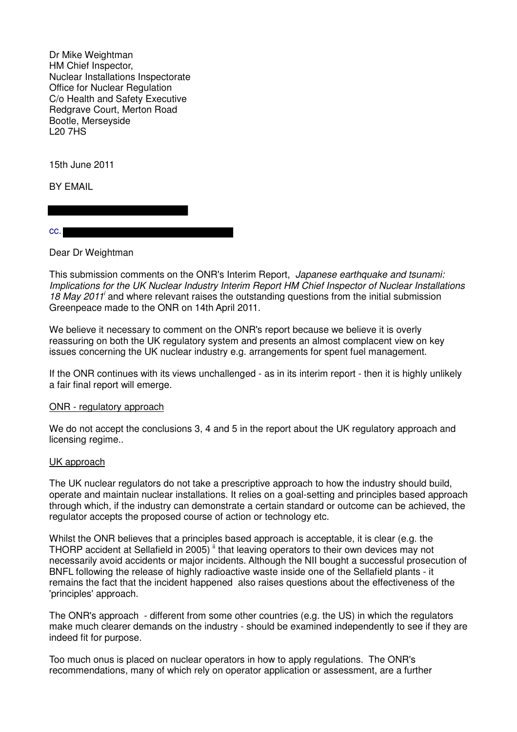Dr Mike Weightman HM Chief Inspector, Nuclear Installations Inspectorate Office for Nuclear Regulation C/o Health and Safety Executive Redgrave Court, Merton Road Bootle, Merseyside L20 7HS

15th June 2011

BY EMAIL

cc.

Dear Dr Weightman

This submission comments on the ONR's Interim Report, Japanese earthquake and tsunami: Implications for the UK Nuclear Industry Interim Report HM Chief Inspector of Nuclear Installations 18 May 2011<sup> $i$ </sup> and where relevant raises the outstanding questions from the initial submission Greenpeace made to the ONR on 14th April 2011.

We believe it necessary to comment on the ONR's report because we believe it is overly reassuring on both the UK regulatory system and presents an almost complacent view on key issues concerning the UK nuclear industry e.g. arrangements for spent fuel management.

If the ONR continues with its views unchallenged - as in its interim report - then it is highly unlikely a fair final report will emerge.

#### ONR - regulatory approach

We do not accept the conclusions 3, 4 and 5 in the report about the UK regulatory approach and licensing regime..

#### UK approach

The UK nuclear regulators do not take a prescriptive approach to how the industry should build, operate and maintain nuclear installations. It relies on a goal-setting and principles based approach through which, if the industry can demonstrate a certain standard or outcome can be achieved, the regulator accepts the proposed course of action or technology etc.

Whilst the ONR believes that a principles based approach is acceptable, it is clear (e.g. the THORP accident at Sellafield in 2005)  $\mathsf{u}$  that leaving operators to their own devices may not necessarily avoid accidents or major incidents. Although the NII bought a successful prosecution of BNFL following the release of highly radioactive waste inside one of the Sellafield plants - it remains the fact that the incident happened also raises questions about the effectiveness of the 'principles' approach.

The ONR's approach - different from some other countries (e.g. the US) in which the regulators make much clearer demands on the industry - should be examined independently to see if they are indeed fit for purpose.

Too much onus is placed on nuclear operators in how to apply regulations. The ONR's recommendations, many of which rely on operator application or assessment, are a further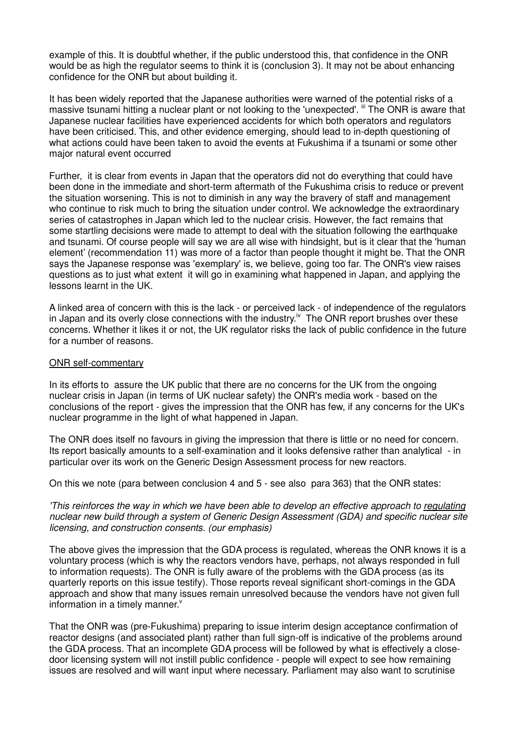example of this. It is doubtful whether, if the public understood this, that confidence in the ONR would be as high the regulator seems to think it is (conclusion 3). It may not be about enhancing confidence for the ONR but about building it.

It has been widely reported that the Japanese authorities were warned of the potential risks of a massive tsunami hitting a nuclear plant or not looking to the 'unexpected'. If The ONR is aware that Japanese nuclear facilities have experienced accidents for which both operators and regulators have been criticised. This, and other evidence emerging, should lead to in-depth questioning of what actions could have been taken to avoid the events at Fukushima if a tsunami or some other major natural event occurred

Further, it is clear from events in Japan that the operators did not do everything that could have been done in the immediate and short-term aftermath of the Fukushima crisis to reduce or prevent the situation worsening. This is not to diminish in any way the bravery of staff and management who continue to risk much to bring the situation under control. We acknowledge the extraordinary series of catastrophes in Japan which led to the nuclear crisis. However, the fact remains that some startling decisions were made to attempt to deal with the situation following the earthquake and tsunami. Of course people will say we are all wise with hindsight, but is it clear that the 'human element' (recommendation 11) was more of a factor than people thought it might be. That the ONR says the Japanese response was 'exemplary' is, we believe, going too far. The ONR's view raises questions as to just what extent it will go in examining what happened in Japan, and applying the lessons learnt in the UK.

A linked area of concern with this is the lack - or perceived lack - of independence of the regulators in Japan and its overly close connections with the industry.<sup>iv</sup> The ONR report brushes over these concerns. Whether it likes it or not, the UK regulator risks the lack of public confidence in the future for a number of reasons.

## ONR self-commentary

In its efforts to assure the UK public that there are no concerns for the UK from the ongoing nuclear crisis in Japan (in terms of UK nuclear safety) the ONR's media work - based on the conclusions of the report - gives the impression that the ONR has few, if any concerns for the UK's nuclear programme in the light of what happened in Japan.

The ONR does itself no favours in giving the impression that there is little or no need for concern. Its report basically amounts to a self-examination and it looks defensive rather than analytical - in particular over its work on the Generic Design Assessment process for new reactors.

On this we note (para between conclusion 4 and 5 - see also para 363) that the ONR states:

'This reinforces the way in which we have been able to develop an effective approach to regulating nuclear new build through a system of Generic Design Assessment (GDA) and specific nuclear site licensing, and construction consents. (our emphasis)

The above gives the impression that the GDA process is regulated, whereas the ONR knows it is a voluntary process (which is why the reactors vendors have, perhaps, not always responded in full to information requests). The ONR is fully aware of the problems with the GDA process (as its quarterly reports on this issue testify). Those reports reveal significant short-comings in the GDA approach and show that many issues remain unresolved because the vendors have not given full information in a timely manner.<sup>v</sup>

That the ONR was (pre-Fukushima) preparing to issue interim design acceptance confirmation of reactor designs (and associated plant) rather than full sign-off is indicative of the problems around the GDA process. That an incomplete GDA process will be followed by what is effectively a closedoor licensing system will not instill public confidence - people will expect to see how remaining issues are resolved and will want input where necessary. Parliament may also want to scrutinise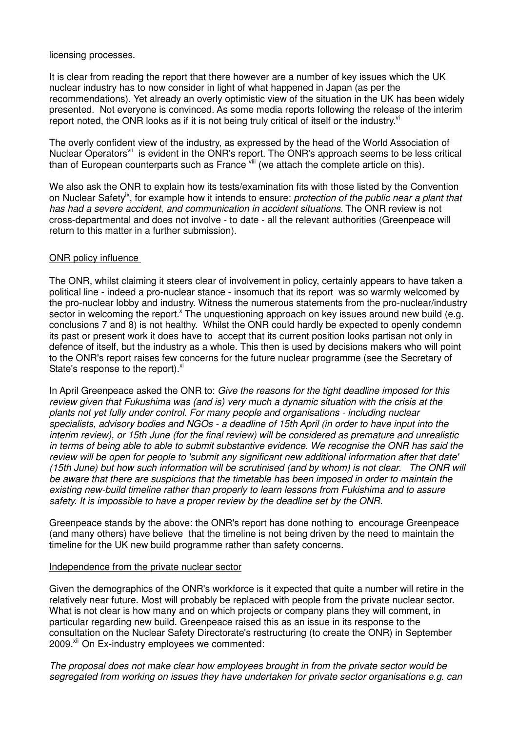licensing processes.

It is clear from reading the report that there however are a number of key issues which the UK nuclear industry has to now consider in light of what happened in Japan (as per the recommendations). Yet already an overly optimistic view of the situation in the UK has been widely presented. Not everyone is convinced. As some media reports following the release of the interim report noted, the ONR looks as if it is not being truly critical of itself or the industry. $v<sup>i</sup>$ 

The overly confident view of the industry, as expressed by the head of the World Association of Nuclear Operators<sup>vii</sup> is evident in the ONR's report. The ONR's approach seems to be less critical than of European counterparts such as France vill (we attach the complete article on this).

We also ask the ONR to explain how its tests/examination fits with those listed by the Convention on Nuclear Safety<sup>ix</sup>, for example how it intends to ensure: *protection of the public near a plant that* has had a severe accident, and communication in accident situations. The ONR review is not cross-departmental and does not involve - to date - all the relevant authorities (Greenpeace will return to this matter in a further submission).

## ONR policy influence

The ONR, whilst claiming it steers clear of involvement in policy, certainly appears to have taken a political line - indeed a pro-nuclear stance - insomuch that its report was so warmly welcomed by the pro-nuclear lobby and industry. Witness the numerous statements from the pro-nuclear/industry sector in welcoming the report.<sup>x</sup> The unquestioning approach on key issues around new build (e.g. conclusions 7 and 8) is not healthy. Whilst the ONR could hardly be expected to openly condemn its past or present work it does have to accept that its current position looks partisan not only in defence of itself, but the industry as a whole. This then is used by decisions makers who will point to the ONR's report raises few concerns for the future nuclear programme (see the Secretary of State's response to the report). Xi

In April Greenpeace asked the ONR to: Give the reasons for the tight deadline imposed for this review given that Fukushima was (and is) very much a dynamic situation with the crisis at the plants not yet fully under control. For many people and organisations - including nuclear specialists, advisory bodies and NGOs - a deadline of 15th April (in order to have input into the interim review), or 15th June (for the final review) will be considered as premature and unrealistic in terms of being able to able to submit substantive evidence. We recognise the ONR has said the review will be open for people to 'submit any significant new additional information after that date' (15th June) but how such information will be scrutinised (and by whom) is not clear. The ONR will be aware that there are suspicions that the timetable has been imposed in order to maintain the existing new-build timeline rather than properly to learn lessons from Fukishima and to assure safety. It is impossible to have a proper review by the deadline set by the ONR.

Greenpeace stands by the above: the ONR's report has done nothing to encourage Greenpeace (and many others) have believe that the timeline is not being driven by the need to maintain the timeline for the UK new build programme rather than safety concerns.

#### Independence from the private nuclear sector

Given the demographics of the ONR's workforce is it expected that quite a number will retire in the relatively near future. Most will probably be replaced with people from the private nuclear sector. What is not clear is how many and on which projects or company plans they will comment, in particular regarding new build. Greenpeace raised this as an issue in its response to the consultation on the Nuclear Safety Directorate's restructuring (to create the ONR) in September 2009.<sup>xii</sup> On Ex-industry employees we commented:

The proposal does not make clear how employees brought in from the private sector would be segregated from working on issues they have undertaken for private sector organisations e.g. can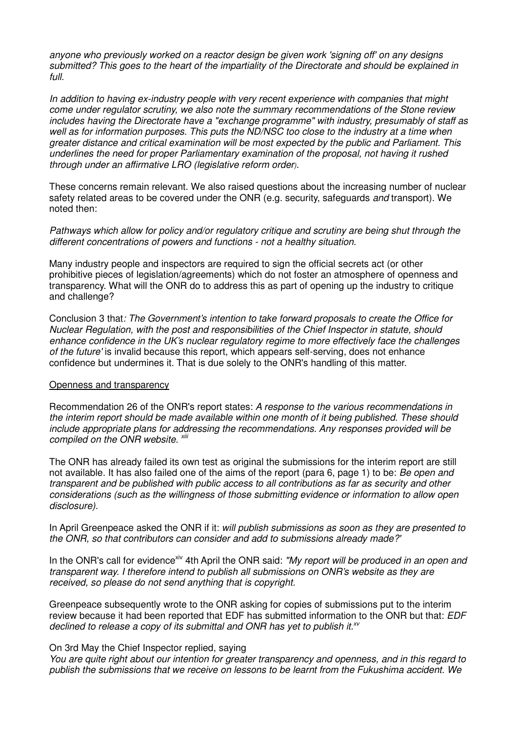anyone who previously worked on a reactor design be given work 'signing off' on any designs submitted? This goes to the heart of the impartiality of the Directorate and should be explained in full.

In addition to having ex-industry people with very recent experience with companies that might come under regulator scrutiny, we also note the summary recommendations of the Stone review includes having the Directorate have a "exchange programme" with industry, presumably of staff as well as for information purposes. This puts the ND/NSC too close to the industry at a time when greater distance and critical examination will be most expected by the public and Parliament. This underlines the need for proper Parliamentary examination of the proposal, not having it rushed through under an affirmative LRO (legislative reform order).

These concerns remain relevant. We also raised questions about the increasing number of nuclear safety related areas to be covered under the ONR (e.g. security, safeguards and transport). We noted then:

Pathways which allow for policy and/or regulatory critique and scrutiny are being shut through the different concentrations of powers and functions - not a healthy situation.

Many industry people and inspectors are required to sign the official secrets act (or other prohibitive pieces of legislation/agreements) which do not foster an atmosphere of openness and transparency. What will the ONR do to address this as part of opening up the industry to critique and challenge?

Conclusion 3 that: The Government's intention to take forward proposals to create the Office for Nuclear Regulation, with the post and responsibilities of the Chief Inspector in statute, should enhance confidence in the UK's nuclear regulatory regime to more effectively face the challenges of the future' is invalid because this report, which appears self-serving, does not enhance confidence but undermines it. That is due solely to the ONR's handling of this matter.

#### Openness and transparency

Recommendation 26 of the ONR's report states: A response to the various recommendations in the interim report should be made available within one month of it being published. These should include appropriate plans for addressing the recommendations. Any responses provided will be compiled on the ONR website.  $x$ iii

The ONR has already failed its own test as original the submissions for the interim report are still not available. It has also failed one of the aims of the report (para 6, page 1) to be: Be open and transparent and be published with public access to all contributions as far as security and other considerations (such as the willingness of those submitting evidence or information to allow open disclosure).

In April Greenpeace asked the ONR if it: will publish submissions as soon as they are presented to the ONR, so that contributors can consider and add to submissions already made?'

In the ONR's call for evidence<sup>xiv</sup> 4th April the ONR said: "My report will be produced in an open and transparent way. I therefore intend to publish all submissions on ONR's website as they are received, so please do not send anything that is copyright.

Greenpeace subsequently wrote to the ONR asking for copies of submissions put to the interim review because it had been reported that EDF has submitted information to the ONR but that: EDF declined to release a copy of its submittal and ONR has yet to publish it. $x^y$ 

#### On 3rd May the Chief Inspector replied, saying

You are quite right about our intention for greater transparency and openness, and in this regard to publish the submissions that we receive on lessons to be learnt from the Fukushima accident. We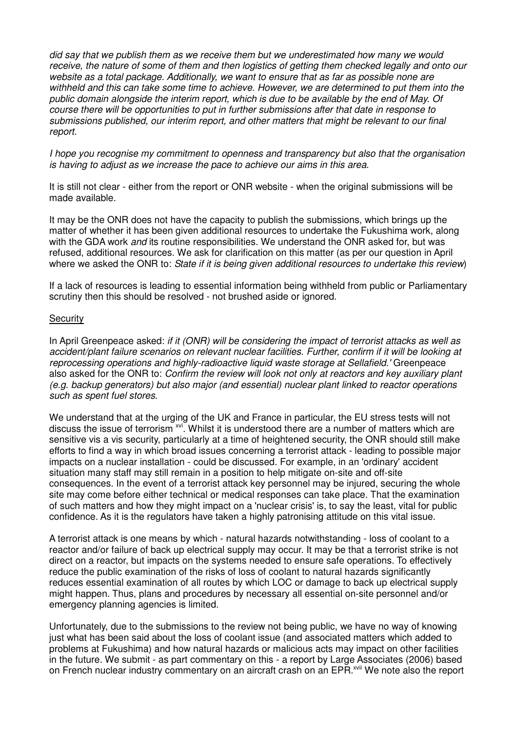did say that we publish them as we receive them but we underestimated how many we would receive, the nature of some of them and then logistics of getting them checked legally and onto our website as a total package. Additionally, we want to ensure that as far as possible none are withheld and this can take some time to achieve. However, we are determined to put them into the public domain alongside the interim report, which is due to be available by the end of May. Of course there will be opportunities to put in further submissions after that date in response to submissions published, our interim report, and other matters that might be relevant to our final report.

I hope you recognise my commitment to openness and transparency but also that the organisation is having to adjust as we increase the pace to achieve our aims in this area.

It is still not clear - either from the report or ONR website - when the original submissions will be made available.

It may be the ONR does not have the capacity to publish the submissions, which brings up the matter of whether it has been given additional resources to undertake the Fukushima work, along with the GDA work *and* its routine responsibilities. We understand the ONR asked for, but was refused, additional resources. We ask for clarification on this matter (as per our question in April where we asked the ONR to: State if it is being given additional resources to undertake this review)

If a lack of resources is leading to essential information being withheld from public or Parliamentary scrutiny then this should be resolved - not brushed aside or ignored.

## **Security**

In April Greenpeace asked: if it (ONR) will be considering the impact of terrorist attacks as well as accident/plant failure scenarios on relevant nuclear facilities. Further, confirm if it will be looking at reprocessing operations and highly-radioactive liquid waste storage at Sellafield.' Greenpeace also asked for the ONR to: Confirm the review will look not only at reactors and key auxiliary plant (e.g. backup generators) but also major (and essential) nuclear plant linked to reactor operations such as spent fuel stores.

We understand that at the urging of the UK and France in particular, the EU stress tests will not discuss the issue of terrorism <sup>xvi</sup>. Whilst it is understood there are a number of matters which are sensitive vis a vis security, particularly at a time of heightened security, the ONR should still make efforts to find a way in which broad issues concerning a terrorist attack - leading to possible major impacts on a nuclear installation - could be discussed. For example, in an 'ordinary' accident situation many staff may still remain in a position to help mitigate on-site and off-site consequences. In the event of a terrorist attack key personnel may be injured, securing the whole site may come before either technical or medical responses can take place. That the examination of such matters and how they might impact on a 'nuclear crisis' is, to say the least, vital for public confidence. As it is the regulators have taken a highly patronising attitude on this vital issue.

A terrorist attack is one means by which - natural hazards notwithstanding - loss of coolant to a reactor and/or failure of back up electrical supply may occur. It may be that a terrorist strike is not direct on a reactor, but impacts on the systems needed to ensure safe operations. To effectively reduce the public examination of the risks of loss of coolant to natural hazards significantly reduces essential examination of all routes by which LOC or damage to back up electrical supply might happen. Thus, plans and procedures by necessary all essential on-site personnel and/or emergency planning agencies is limited.

Unfortunately, due to the submissions to the review not being public, we have no way of knowing just what has been said about the loss of coolant issue (and associated matters which added to problems at Fukushima) and how natural hazards or malicious acts may impact on other facilities in the future. We submit - as part commentary on this - a report by Large Associates (2006) based on French nuclear industry commentary on an aircraft crash on an EPR.<sup>xvii</sup> We note also the report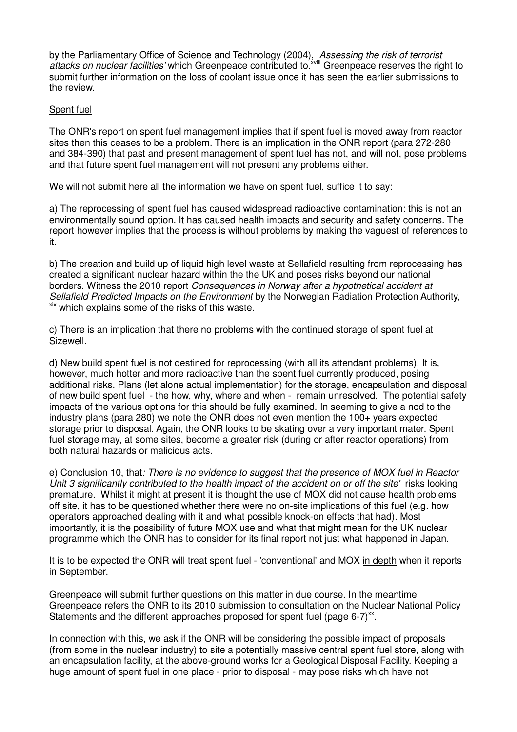by the Parliamentary Office of Science and Technology (2004), Assessing the risk of terrorist attacks on nuclear facilities' which Greenpeace contributed to.<sup>XVIII</sup> Greenpeace reserves the right to submit further information on the loss of coolant issue once it has seen the earlier submissions to the review.

# Spent fuel

The ONR's report on spent fuel management implies that if spent fuel is moved away from reactor sites then this ceases to be a problem. There is an implication in the ONR report (para 272-280 and 384-390) that past and present management of spent fuel has not, and will not, pose problems and that future spent fuel management will not present any problems either.

We will not submit here all the information we have on spent fuel, suffice it to say:

a) The reprocessing of spent fuel has caused widespread radioactive contamination: this is not an environmentally sound option. It has caused health impacts and security and safety concerns. The report however implies that the process is without problems by making the vaguest of references to it.

b) The creation and build up of liquid high level waste at Sellafield resulting from reprocessing has created a significant nuclear hazard within the the UK and poses risks beyond our national borders. Witness the 2010 report Consequences in Norway after a hypothetical accident at Sellafield Predicted Impacts on the Environment by the Norwegian Radiation Protection Authority, xix which explains some of the risks of this waste.

c) There is an implication that there no problems with the continued storage of spent fuel at Sizewell.

d) New build spent fuel is not destined for reprocessing (with all its attendant problems). It is, however, much hotter and more radioactive than the spent fuel currently produced, posing additional risks. Plans (let alone actual implementation) for the storage, encapsulation and disposal of new build spent fuel - the how, why, where and when - remain unresolved. The potential safety impacts of the various options for this should be fully examined. In seeming to give a nod to the industry plans (para 280) we note the ONR does not even mention the 100+ years expected storage prior to disposal. Again, the ONR looks to be skating over a very important mater. Spent fuel storage may, at some sites, become a greater risk (during or after reactor operations) from both natural hazards or malicious acts.

e) Conclusion 10, that: There is no evidence to suggest that the presence of MOX fuel in Reactor Unit 3 significantly contributed to the health impact of the accident on or off the site' risks looking premature. Whilst it might at present it is thought the use of MOX did not cause health problems off site, it has to be questioned whether there were no on-site implications of this fuel (e.g. how operators approached dealing with it and what possible knock-on effects that had). Most importantly, it is the possibility of future MOX use and what that might mean for the UK nuclear programme which the ONR has to consider for its final report not just what happened in Japan.

It is to be expected the ONR will treat spent fuel - 'conventional' and MOX in depth when it reports in September.

Greenpeace will submit further questions on this matter in due course. In the meantime Greenpeace refers the ONR to its 2010 submission to consultation on the Nuclear National Policy Statements and the different approaches proposed for spent fuel (page 6-7) $^{x}$ .

In connection with this, we ask if the ONR will be considering the possible impact of proposals (from some in the nuclear industry) to site a potentially massive central spent fuel store, along with an encapsulation facility, at the above-ground works for a Geological Disposal Facility. Keeping a huge amount of spent fuel in one place - prior to disposal - may pose risks which have not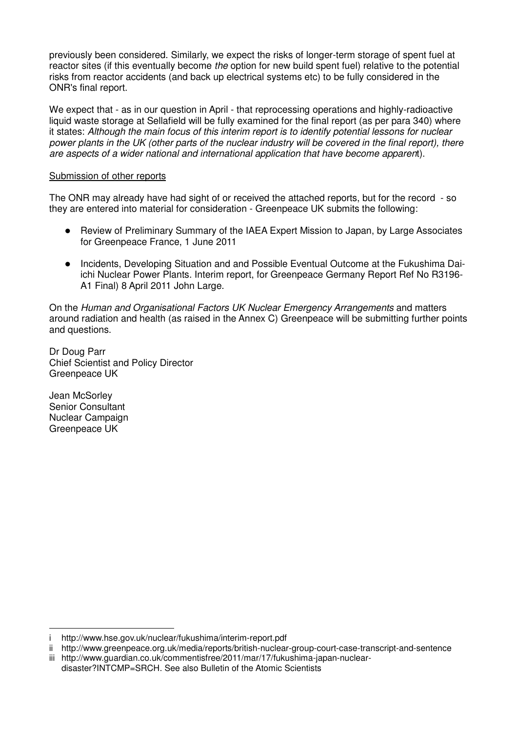previously been considered. Similarly, we expect the risks of longer-term storage of spent fuel at reactor sites (if this eventually become the option for new build spent fuel) relative to the potential risks from reactor accidents (and back up electrical systems etc) to be fully considered in the ONR's final report.

We expect that - as in our question in April - that reprocessing operations and highly-radioactive liquid waste storage at Sellafield will be fully examined for the final report (as per para 340) where it states: Although the main focus of this interim report is to identify potential lessons for nuclear power plants in the UK (other parts of the nuclear industry will be covered in the final report), there are aspects of a wider national and international application that have become apparent).

## Submission of other reports

The ONR may already have had sight of or received the attached reports, but for the record - so they are entered into material for consideration - Greenpeace UK submits the following:

- Review of Preliminary Summary of the IAEA Expert Mission to Japan, by Large Associates for Greenpeace France, 1 June 2011
- Incidents, Developing Situation and and Possible Eventual Outcome at the Fukushima Daiichi Nuclear Power Plants. Interim report, for Greenpeace Germany Report Ref No R3196- A1 Final) 8 April 2011 John Large.

On the Human and Organisational Factors UK Nuclear Emergency Arrangements and matters around radiation and health (as raised in the Annex C) Greenpeace will be submitting further points and questions.

Dr Doug Parr Chief Scientist and Policy Director Greenpeace UK

Jean McSorley Senior Consultant Nuclear Campaign Greenpeace UK

l.

i http://www.hse.gov.uk/nuclear/fukushima/interim-report.pdf

ii http://www.greenpeace.org.uk/media/reports/british-nuclear-group-court-case-transcript-and-sentence

iii http://www.guardian.co.uk/commentisfree/2011/mar/17/fukushima-japan-nuclear-

disaster?INTCMP=SRCH. See also Bulletin of the Atomic Scientists